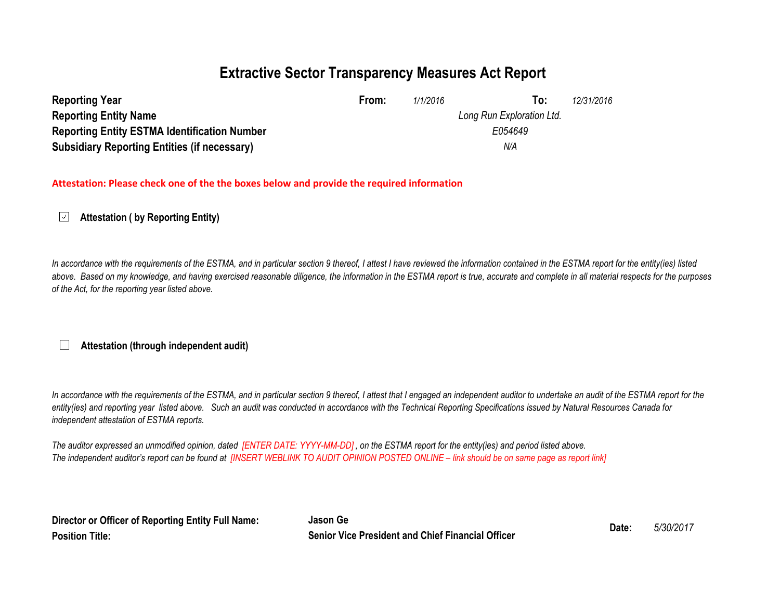### **Extractive Sector Transparency Measures Act Report**

| <b>Reporting Year</b>                               | From: | 1/1/2016 | To:                       | 12/31/2016 |
|-----------------------------------------------------|-------|----------|---------------------------|------------|
| <b>Reporting Entity Name</b>                        |       |          | Long Run Exploration Ltd. |            |
| <b>Reporting Entity ESTMA Identification Number</b> |       |          | E054649                   |            |
| <b>Subsidiary Reporting Entities (if necessary)</b> |       |          | N/A                       |            |

#### **Attestation: Please check one of the the boxes below and provide the required information**

 $\sqrt{ }$ **Attestation ( by Reporting Entity)**

In accordance with the requirements of the ESTMA, and in particular section 9 thereof, I attest I have reviewed the information contained in the ESTMA report for the entity(ies) listed above. Based on my knowledge, and having exercised reasonable diligence, the information in the ESTMA report is true, accurate and complete in all material respects for the purposes *of the Act, for the reporting year listed above.* 

### **Attestation (through independent audit)**

In accordance with the requirements of the ESTMA, and in particular section 9 thereof, I attest that I engaged an independent auditor to undertake an audit of the ESTMA report for the *entity(ies) and reporting year listed above. Such an audit was conducted in accordance with the Technical Reporting Specifications issued by Natural Resources Canada for independent attestation of ESTMA reports.* 

*The auditor expressed an unmodified opinion, dated [ENTER DATE: YYYY-MM-DD] , on the ESTMA report for the entity(ies) and period listed above. The independent auditor's report can be found at [INSERT WEBLINK TO AUDIT OPINION POSTED ONLINE – link should be on same page as report link]* 

| Director or Officer of Reporting Entity Full Name: | Jason Ge                                                 |       | 5/30/2017 |
|----------------------------------------------------|----------------------------------------------------------|-------|-----------|
| <b>Position Title:</b>                             | <b>Senior Vice President and Chief Financial Officer</b> | Date: |           |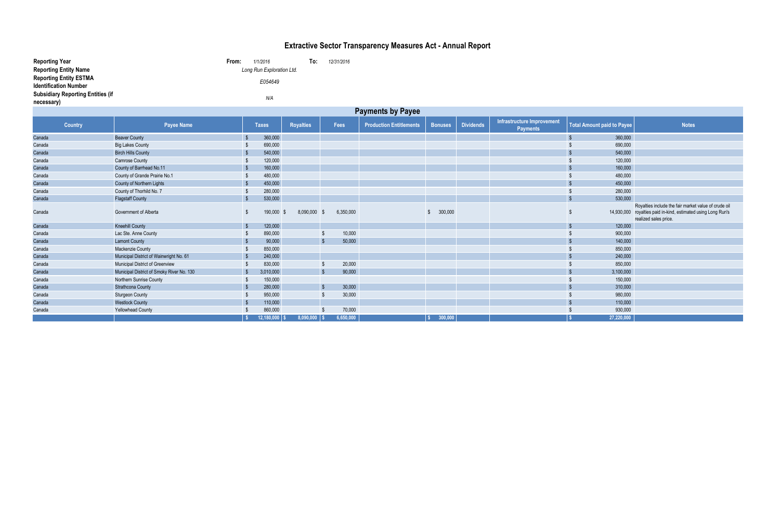| <b>Reporting Year</b><br><b>Reporting Entity Name</b>         |                                           | From:        | 1/1/2016<br>Long Run Exploration Ltd. | To:              | 12/31/2016              |                                |                |                  |                                               |                                   |                                                                                                                                                |
|---------------------------------------------------------------|-------------------------------------------|--------------|---------------------------------------|------------------|-------------------------|--------------------------------|----------------|------------------|-----------------------------------------------|-----------------------------------|------------------------------------------------------------------------------------------------------------------------------------------------|
| <b>Reporting Entity ESTMA</b><br><b>Identification Number</b> |                                           |              | E054649                               |                  |                         |                                |                |                  |                                               |                                   |                                                                                                                                                |
| <b>Subsidiary Reporting Entities (if</b><br>necessary)        |                                           |              | N/A                                   |                  |                         |                                |                |                  |                                               |                                   |                                                                                                                                                |
|                                                               |                                           |              |                                       |                  |                         | <b>Payments by Payee</b>       |                |                  |                                               |                                   |                                                                                                                                                |
| <b>Country</b>                                                | <b>Payee Name</b>                         |              | <b>Taxes</b>                          | <b>Royalties</b> | <b>Fees</b>             | <b>Production Entitlements</b> | <b>Bonuses</b> | <b>Dividends</b> | Infrastructure Improvement<br><b>Payments</b> | <b>Total Amount paid to Payee</b> | <b>Notes</b>                                                                                                                                   |
| Canada                                                        | <b>Beaver County</b>                      | <b>S</b>     | 360,000                               |                  |                         |                                |                |                  |                                               | 360,000<br>$\sqrt{3}$             |                                                                                                                                                |
| Canada                                                        | <b>Big Lakes County</b>                   |              | 690,000                               |                  |                         |                                |                |                  |                                               | 690,000<br>-\$                    |                                                                                                                                                |
| Canada                                                        | <b>Birch Hills County</b>                 | - \$         | 540,000                               |                  |                         |                                |                |                  |                                               | 540,000<br><b>S</b>               |                                                                                                                                                |
| Canada                                                        | <b>Camrose County</b>                     | - \$         | 120,000                               |                  |                         |                                |                |                  |                                               | 120,000<br>- \$                   |                                                                                                                                                |
| Canada                                                        | County of Barrhead No.11                  | <b>\$</b>    | 160,000                               |                  |                         |                                |                |                  |                                               | 160,000<br><b>S</b>               |                                                                                                                                                |
| Canada                                                        | County of Grande Prairie No.1             | -\$          | 480,000                               |                  |                         |                                |                |                  |                                               | 480,000                           |                                                                                                                                                |
| Canada                                                        | County of Northern Lights                 | $\sqrt{3}$   | 450,000                               |                  |                         |                                |                |                  |                                               | 450,000<br>$\mathbf{\hat{s}}$     |                                                                                                                                                |
| Canada                                                        | County of Thorhild No. 7                  | - \$         | 280,000                               |                  |                         |                                |                |                  |                                               | 280,000<br>-\$                    |                                                                                                                                                |
| Canada                                                        | <b>Flagstaff County</b>                   | $\sqrt{3}$   | 530,000                               |                  |                         |                                |                |                  |                                               | $\sqrt{2}$<br>530,000             |                                                                                                                                                |
| Canada                                                        | Government of Alberta                     | \$           | 190,000 \$                            | 8,090,000        | 6,350,000<br>- \$       |                                | 300,000<br>\$. |                  |                                               | -S                                | Royalties include the fair market value of crude oil<br>14,930,000 royalties paid in-kind, estimated using Long Run's<br>realized sales price. |
| Canada                                                        | <b>Kneehill County</b>                    | $\sqrt{3}$   | 120,000                               |                  |                         |                                |                |                  |                                               | $\sqrt{2}$<br>120,000             |                                                                                                                                                |
| Canada                                                        | Lac Ste. Anne County                      | - \$         | 890,000                               |                  | 10,000<br>$\sqrt{3}$    |                                |                |                  |                                               | 900,000<br>-\$                    |                                                                                                                                                |
| Canada                                                        | <b>Lamont County</b>                      | $\sqrt{3}$   | 90,000                                |                  | 50,000<br>$\sqrt{3}$    |                                |                |                  |                                               | 140,000<br>$\sqrt{2}$             |                                                                                                                                                |
| Canada                                                        | Mackenzie County                          | - \$         | 850,000                               |                  |                         |                                |                |                  |                                               | 850,000<br>-\$                    |                                                                                                                                                |
| Canada                                                        | Municipal District of Wainwright No. 61   | <b>\$</b>    | 240,000                               |                  |                         |                                |                |                  |                                               | 240,000<br>$\mathcal{S}$          |                                                                                                                                                |
| Canada                                                        | Municipal District of Greenview           | - \$         | 830,000                               |                  | 20,000<br>$\sqrt{3}$    |                                |                |                  |                                               | 850,000<br>- \$                   |                                                                                                                                                |
| Canada                                                        | Municipal District of Smoky River No. 130 | <b>S</b>     | 3,010,000                             |                  | $\sqrt{3}$<br>90,000    |                                |                |                  |                                               | 3,100,000<br>$\mathbf{\hat{s}}$   |                                                                                                                                                |
| Canada                                                        | Northern Sunrise County                   | - \$         | 150,000                               |                  |                         |                                |                |                  |                                               | 150,000<br>-\$                    |                                                                                                                                                |
| Canada                                                        | <b>Strathcona County</b>                  | - \$         | 280,000                               |                  | $\sqrt{2}$<br>30,000    |                                |                |                  |                                               | 310,000<br>$\sqrt{3}$             |                                                                                                                                                |
| Canada                                                        | <b>Sturgeon County</b>                    | - \$         | 950,000                               |                  | 30,000<br>-\$           |                                |                |                  |                                               | 980,000<br>-\$                    |                                                                                                                                                |
| Canada                                                        | <b>Westlock County</b>                    | <b>S</b>     | 110,000                               |                  |                         |                                |                |                  |                                               | $\mathbf{\hat{s}}$<br>110,000     |                                                                                                                                                |
| Canada                                                        | <b>Yellowhead County</b>                  |              | 860,000                               |                  | 70,000<br>$\mathcal{S}$ |                                |                |                  |                                               | 930,000                           |                                                                                                                                                |
|                                                               |                                           | $\mathbf{s}$ | $12,180,000$ $\sqrt{\ }$              | $8,090,000$   \$ | 6,650,000               |                                | 300,000        |                  |                                               | 27,220,000                        |                                                                                                                                                |

# **Extractive Sector Transparency Measures Act - Annual Report**